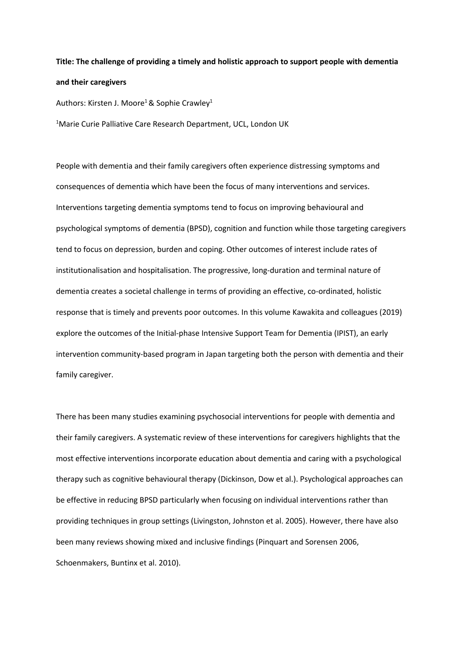## **Title: The challenge of providing a timely and holistic approach to support people with dementia and their caregivers**

Authors: Kirsten J. Moore<sup>1</sup> & Sophie Crawley<sup>1</sup>

<sup>1</sup>Marie Curie Palliative Care Research Department, UCL, London UK

People with dementia and their family caregivers often experience distressing symptoms and consequences of dementia which have been the focus of many interventions and services. Interventions targeting dementia symptoms tend to focus on improving behavioural and psychological symptoms of dementia (BPSD), cognition and function while those targeting caregivers tend to focus on depression, burden and coping. Other outcomes of interest include rates of institutionalisation and hospitalisation. The progressive, long-duration and terminal nature of dementia creates a societal challenge in terms of providing an effective, co-ordinated, holistic response that is timely and prevents poor outcomes. In this volume Kawakita and colleagues (2019) explore the outcomes of the Initial-phase Intensive Support Team for Dementia (IPIST), an early intervention community-based program in Japan targeting both the person with dementia and their family caregiver.

There has been many studies examining psychosocial interventions for people with dementia and their family caregivers. A systematic review of these interventions for caregivers highlights that the most effective interventions incorporate education about dementia and caring with a psychological therapy such as cognitive behavioural therapy (Dickinson, Dow et al.). Psychological approaches can be effective in reducing BPSD particularly when focusing on individual interventions rather than providing techniques in group settings (Livingston, Johnston et al. 2005). However, there have also been many reviews showing mixed and inclusive findings (Pinquart and Sorensen 2006, Schoenmakers, Buntinx et al. 2010).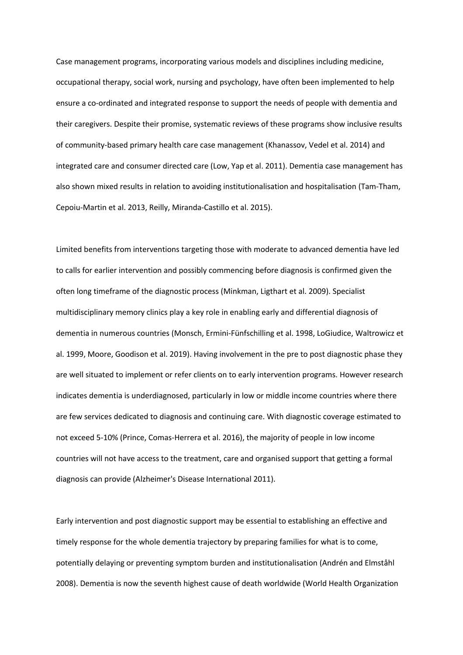Case management programs, incorporating various models and disciplines including medicine, occupational therapy, social work, nursing and psychology, have often been implemented to help ensure a co-ordinated and integrated response to support the needs of people with dementia and their caregivers. Despite their promise, systematic reviews of these programs show inclusive results of community-based primary health care case management (Khanassov, Vedel et al. 2014) and integrated care and consumer directed care (Low, Yap et al. 2011). Dementia case management has also shown mixed results in relation to avoiding institutionalisation and hospitalisation (Tam-Tham, Cepoiu-Martin et al. 2013, Reilly, Miranda-Castillo et al. 2015).

Limited benefits from interventions targeting those with moderate to advanced dementia have led to calls for earlier intervention and possibly commencing before diagnosis is confirmed given the often long timeframe of the diagnostic process (Minkman, Ligthart et al. 2009). Specialist multidisciplinary memory clinics play a key role in enabling early and differential diagnosis of dementia in numerous countries (Monsch, Ermini-Fünfschilling et al. 1998, LoGiudice, Waltrowicz et al. 1999, Moore, Goodison et al. 2019). Having involvement in the pre to post diagnostic phase they are well situated to implement or refer clients on to early intervention programs. However research indicates dementia is underdiagnosed, particularly in low or middle income countries where there are few services dedicated to diagnosis and continuing care. With diagnostic coverage estimated to not exceed 5-10% (Prince, Comas-Herrera et al. 2016), the majority of people in low income countries will not have access to the treatment, care and organised support that getting a formal diagnosis can provide (Alzheimer's Disease International 2011).

Early intervention and post diagnostic support may be essential to establishing an effective and timely response for the whole dementia trajectory by preparing families for what is to come, potentially delaying or preventing symptom burden and institutionalisation (Andrén and Elmståhl 2008). Dementia is now the seventh highest cause of death worldwide (World Health Organization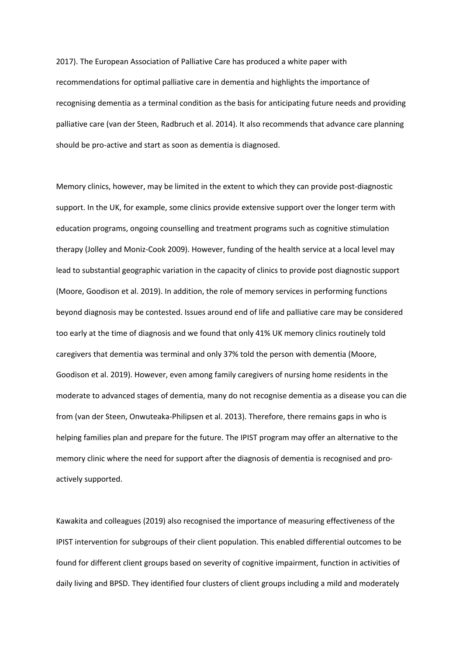2017). The European Association of Palliative Care has produced a white paper with recommendations for optimal palliative care in dementia and highlights the importance of recognising dementia as a terminal condition as the basis for anticipating future needs and providing palliative care (van der Steen, Radbruch et al. 2014). It also recommends that advance care planning should be pro-active and start as soon as dementia is diagnosed.

Memory clinics, however, may be limited in the extent to which they can provide post-diagnostic support. In the UK, for example, some clinics provide extensive support over the longer term with education programs, ongoing counselling and treatment programs such as cognitive stimulation therapy (Jolley and Moniz-Cook 2009). However, funding of the health service at a local level may lead to substantial geographic variation in the capacity of clinics to provide post diagnostic support (Moore, Goodison et al. 2019). In addition, the role of memory services in performing functions beyond diagnosis may be contested. Issues around end of life and palliative care may be considered too early at the time of diagnosis and we found that only 41% UK memory clinics routinely told caregivers that dementia was terminal and only 37% told the person with dementia (Moore, Goodison et al. 2019). However, even among family caregivers of nursing home residents in the moderate to advanced stages of dementia, many do not recognise dementia as a disease you can die from (van der Steen, Onwuteaka-Philipsen et al. 2013). Therefore, there remains gaps in who is helping families plan and prepare for the future. The IPIST program may offer an alternative to the memory clinic where the need for support after the diagnosis of dementia is recognised and proactively supported.

Kawakita and colleagues (2019) also recognised the importance of measuring effectiveness of the IPIST intervention for subgroups of their client population. This enabled differential outcomes to be found for different client groups based on severity of cognitive impairment, function in activities of daily living and BPSD. They identified four clusters of client groups including a mild and moderately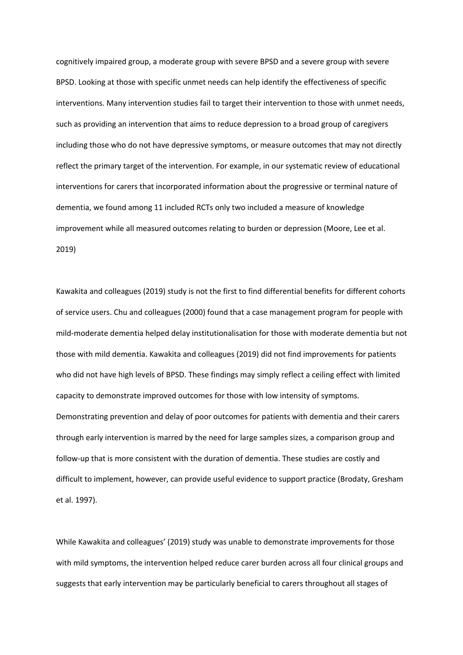cognitively impaired group, a moderate group with severe BPSD and a severe group with severe BPSD. Looking at those with specific unmet needs can help identify the effectiveness of specific interventions. Many intervention studies fail to target their intervention to those with unmet needs, such as providing an intervention that aims to reduce depression to a broad group of caregivers including those who do not have depressive symptoms, or measure outcomes that may not directly reflect the primary target of the intervention. For example, in our systematic review of educational interventions for carers that incorporated information about the progressive or terminal nature of dementia, we found among 11 included RCTs only two included a measure of knowledge improvement while all measured outcomes relating to burden or depression (Moore, Lee et al. 2019)

Kawakita and colleagues (2019) study is not the first to find differential benefits for different cohorts of service users. Chu and colleagues (2000) found that a case management program for people with mild-moderate dementia helped delay institutionalisation for those with moderate dementia but not those with mild dementia. Kawakita and colleagues (2019) did not find improvements for patients who did not have high levels of BPSD. These findings may simply reflect a ceiling effect with limited capacity to demonstrate improved outcomes for those with low intensity of symptoms. Demonstrating prevention and delay of poor outcomes for patients with dementia and their carers through early intervention is marred by the need for large samples sizes, a comparison group and follow-up that is more consistent with the duration of dementia. These studies are costly and difficult to implement, however, can provide useful evidence to support practice (Brodaty, Gresham et al. 1997).

While Kawakita and colleagues' (2019) study was unable to demonstrate improvements for those with mild symptoms, the intervention helped reduce carer burden across all four clinical groups and suggests that early intervention may be particularly beneficial to carers throughout all stages of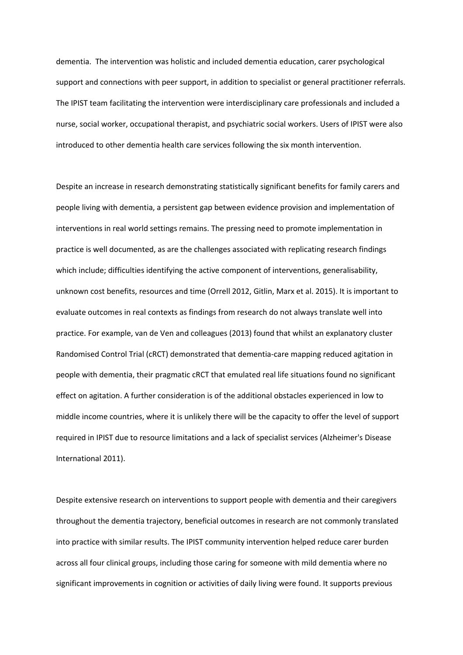dementia. The intervention was holistic and included dementia education, carer psychological support and connections with peer support, in addition to specialist or general practitioner referrals. The IPIST team facilitating the intervention were interdisciplinary care professionals and included a nurse, social worker, occupational therapist, and psychiatric social workers. Users of IPIST were also introduced to other dementia health care services following the six month intervention.

Despite an increase in research demonstrating statistically significant benefits for family carers and people living with dementia, a persistent gap between evidence provision and implementation of interventions in real world settings remains. The pressing need to promote implementation in practice is well documented, as are the challenges associated with replicating research findings which include; difficulties identifying the active component of interventions, generalisability, unknown cost benefits, resources and time (Orrell 2012, Gitlin, Marx et al. 2015). It is important to evaluate outcomes in real contexts as findings from research do not always translate well into practice. For example, van de Ven and colleagues (2013) found that whilst an explanatory cluster Randomised Control Trial (cRCT) demonstrated that dementia-care mapping reduced agitation in people with dementia, their pragmatic cRCT that emulated real life situations found no significant effect on agitation. A further consideration is of the additional obstacles experienced in low to middle income countries, where it is unlikely there will be the capacity to offer the level of support required in IPIST due to resource limitations and a lack of specialist services (Alzheimer's Disease International 2011).

Despite extensive research on interventions to support people with dementia and their caregivers throughout the dementia trajectory, beneficial outcomes in research are not commonly translated into practice with similar results. The IPIST community intervention helped reduce carer burden across all four clinical groups, including those caring for someone with mild dementia where no significant improvements in cognition or activities of daily living were found. It supports previous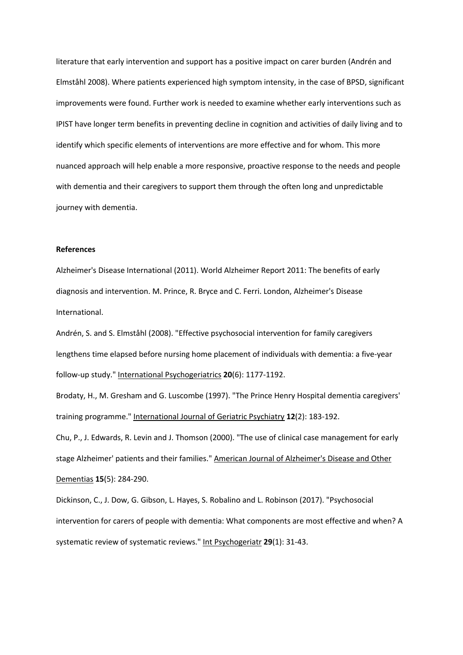literature that early intervention and support has a positive impact on carer burden (Andrén and Elmståhl 2008). Where patients experienced high symptom intensity, in the case of BPSD, significant improvements were found. Further work is needed to examine whether early interventions such as IPIST have longer term benefits in preventing decline in cognition and activities of daily living and to identify which specific elements of interventions are more effective and for whom. This more nuanced approach will help enable a more responsive, proactive response to the needs and people with dementia and their caregivers to support them through the often long and unpredictable journey with dementia.

## **References**

Alzheimer's Disease International (2011). World Alzheimer Report 2011: The benefits of early diagnosis and intervention. M. Prince, R. Bryce and C. Ferri. London, Alzheimer's Disease International.

Andrén, S. and S. Elmståhl (2008). "Effective psychosocial intervention for family caregivers lengthens time elapsed before nursing home placement of individuals with dementia: a five-year follow-up study." International Psychogeriatrics **20**(6): 1177-1192.

Brodaty, H., M. Gresham and G. Luscombe (1997). "The Prince Henry Hospital dementia caregivers' training programme." International Journal of Geriatric Psychiatry **12**(2): 183-192.

Chu, P., J. Edwards, R. Levin and J. Thomson (2000). "The use of clinical case management for early stage Alzheimer' patients and their families." American Journal of Alzheimer's Disease and Other Dementias **15**(5): 284-290.

Dickinson, C., J. Dow, G. Gibson, L. Hayes, S. Robalino and L. Robinson (2017). "Psychosocial intervention for carers of people with dementia: What components are most effective and when? A systematic review of systematic reviews." Int Psychogeriatr **29**(1): 31-43.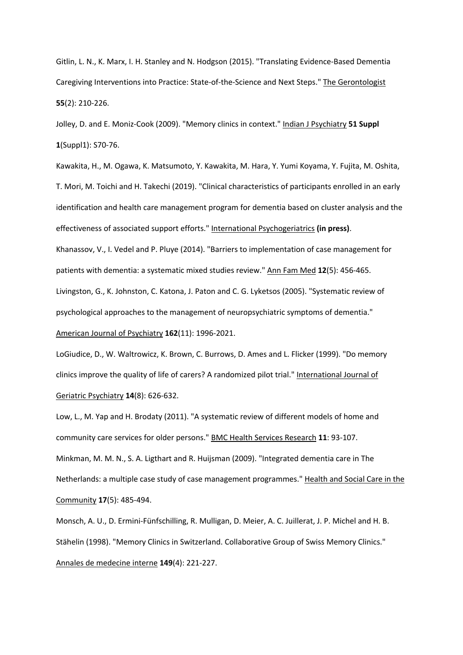Gitlin, L. N., K. Marx, I. H. Stanley and N. Hodgson (2015). "Translating Evidence-Based Dementia Caregiving Interventions into Practice: State-of-the-Science and Next Steps." The Gerontologist **55**(2): 210-226.

Jolley, D. and E. Moniz-Cook (2009). "Memory clinics in context." Indian J Psychiatry **51 Suppl 1**(Suppl1): S70-76.

Kawakita, H., M. Ogawa, K. Matsumoto, Y. Kawakita, M. Hara, Y. Yumi Koyama, Y. Fujita, M. Oshita, T. Mori, M. Toichi and H. Takechi (2019). "Clinical characteristics of participants enrolled in an early identification and health care management program for dementia based on cluster analysis and the effectiveness of associated support efforts." International Psychogeriatrics **(in press)**. Khanassov, V., I. Vedel and P. Pluye (2014). "Barriers to implementation of case management for patients with dementia: a systematic mixed studies review." Ann Fam Med **12**(5): 456-465. Livingston, G., K. Johnston, C. Katona, J. Paton and C. G. Lyketsos (2005). "Systematic review of psychological approaches to the management of neuropsychiatric symptoms of dementia." American Journal of Psychiatry **162**(11): 1996-2021.

LoGiudice, D., W. Waltrowicz, K. Brown, C. Burrows, D. Ames and L. Flicker (1999). "Do memory clinics improve the quality of life of carers? A randomized pilot trial." International Journal of Geriatric Psychiatry **14**(8): 626-632.

Low, L., M. Yap and H. Brodaty (2011). "A systematic review of different models of home and community care services for older persons." BMC Health Services Research **11**: 93-107. Minkman, M. M. N., S. A. Ligthart and R. Huijsman (2009). "Integrated dementia care in The Netherlands: a multiple case study of case management programmes." Health and Social Care in the Community **17**(5): 485-494.

Monsch, A. U., D. Ermini-Fünfschilling, R. Mulligan, D. Meier, A. C. Juillerat, J. P. Michel and H. B. Stähelin (1998). "Memory Clinics in Switzerland. Collaborative Group of Swiss Memory Clinics." Annales de medecine interne **149**(4): 221-227.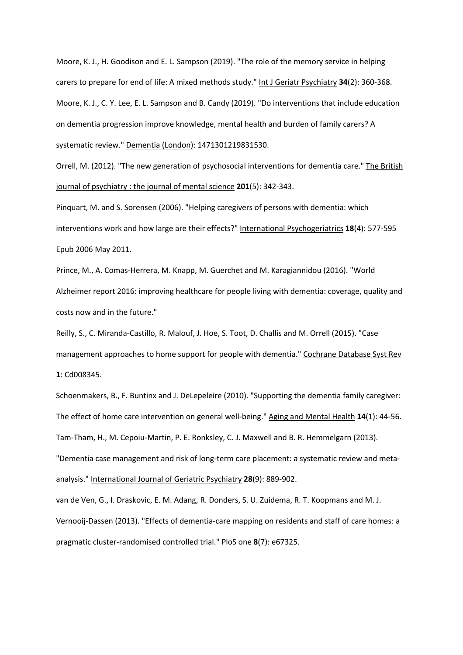Moore, K. J., H. Goodison and E. L. Sampson (2019). "The role of the memory service in helping carers to prepare for end of life: A mixed methods study." Int J Geriatr Psychiatry **34**(2): 360-368. Moore, K. J., C. Y. Lee, E. L. Sampson and B. Candy (2019). "Do interventions that include education on dementia progression improve knowledge, mental health and burden of family carers? A systematic review." Dementia (London): 1471301219831530.

Orrell, M. (2012). "The new generation of psychosocial interventions for dementia care." The British journal of psychiatry : the journal of mental science **201**(5): 342-343.

Pinquart, M. and S. Sorensen (2006). "Helping caregivers of persons with dementia: which interventions work and how large are their effects?" International Psychogeriatrics **18**(4): 577-595 Epub 2006 May 2011.

Prince, M., A. Comas-Herrera, M. Knapp, M. Guerchet and M. Karagiannidou (2016). "World Alzheimer report 2016: improving healthcare for people living with dementia: coverage, quality and costs now and in the future."

Reilly, S., C. Miranda-Castillo, R. Malouf, J. Hoe, S. Toot, D. Challis and M. Orrell (2015). "Case management approaches to home support for people with dementia." Cochrane Database Syst Rev **1**: Cd008345.

Schoenmakers, B., F. Buntinx and J. DeLepeleire (2010). "Supporting the dementia family caregiver: The effect of home care intervention on general well-being." Aging and Mental Health **14**(1): 44-56. Tam-Tham, H., M. Cepoiu-Martin, P. E. Ronksley, C. J. Maxwell and B. R. Hemmelgarn (2013).

"Dementia case management and risk of long-term care placement: a systematic review and metaanalysis." International Journal of Geriatric Psychiatry **28**(9): 889-902.

van de Ven, G., I. Draskovic, E. M. Adang, R. Donders, S. U. Zuidema, R. T. Koopmans and M. J. Vernooij-Dassen (2013). "Effects of dementia-care mapping on residents and staff of care homes: a pragmatic cluster-randomised controlled trial." PloS one **8**(7): e67325.